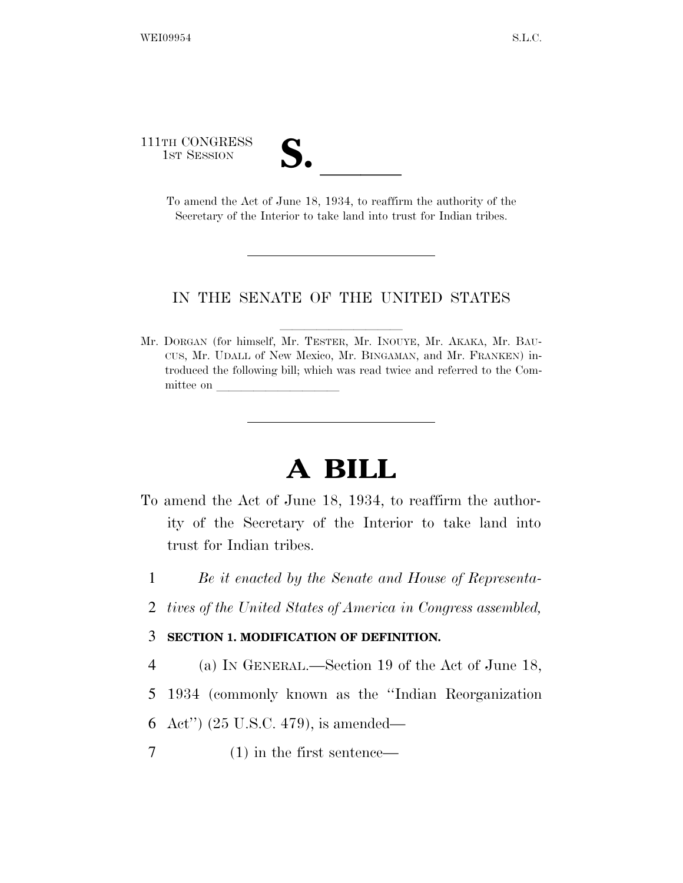111TH CONGRESS TH CONGRESS<br>
1st Session<br>
To amend the Act of June 18, 1934, to reaffirm the authority of the

Secretary of the Interior to take land into trust for Indian tribes.

## IN THE SENATE OF THE UNITED STATES

Mr. DORGAN (for himself, Mr. TESTER, Mr. INOUYE, Mr. AKAKA, Mr. BAU-CUS, Mr. UDALL of New Mexico, Mr. BINGAMAN, and Mr. FRANKEN) introduced the following bill; which was read twice and referred to the Committee on

## **A BILL**

- To amend the Act of June 18, 1934, to reaffirm the authority of the Secretary of the Interior to take land into trust for Indian tribes.
	- 1 *Be it enacted by the Senate and House of Representa-*
	- 2 *tives of the United States of America in Congress assembled,*

## 3 **SECTION 1. MODIFICATION OF DEFINITION.**

- 4 (a) IN GENERAL.—Section 19 of the Act of June 18,
- 5 1934 (commonly known as the ''Indian Reorganization
- 6 Act'') (25 U.S.C. 479), is amended—
- 7 (1) in the first sentence—